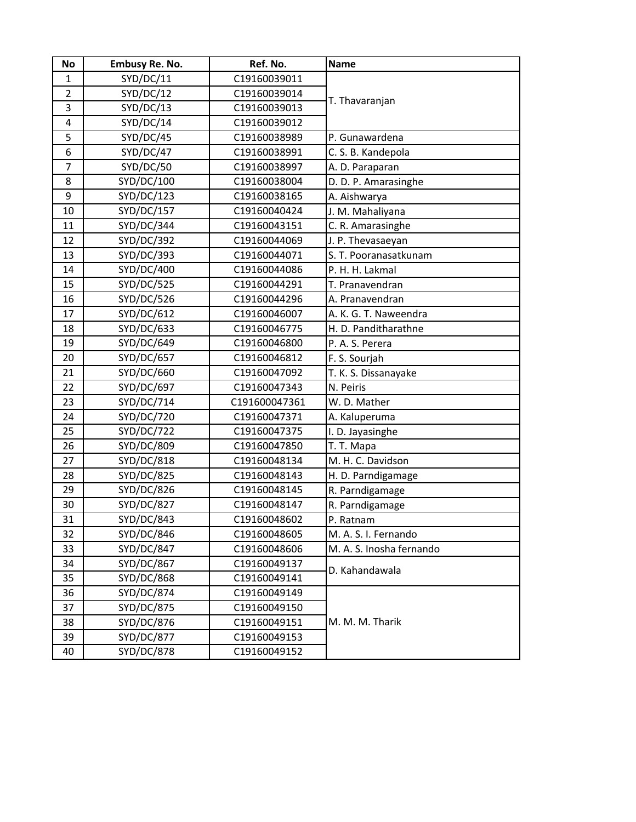| No             | <b>Embusy Re. No.</b> | Ref. No.      | <b>Name</b>              |
|----------------|-----------------------|---------------|--------------------------|
| $\mathbf{1}$   | SYD/DC/11             | C19160039011  |                          |
| $\overline{2}$ | SYD/DC/12             | C19160039014  | T. Thavaranjan           |
| 3              | SYD/DC/13             | C19160039013  |                          |
| 4              | SYD/DC/14             | C19160039012  |                          |
| 5              | SYD/DC/45             | C19160038989  | P. Gunawardena           |
| 6              | SYD/DC/47             | C19160038991  | C. S. B. Kandepola       |
| 7              | SYD/DC/50             | C19160038997  | A. D. Paraparan          |
| 8              | SYD/DC/100            | C19160038004  | D. D. P. Amarasinghe     |
| 9              | SYD/DC/123            | C19160038165  | A. Aishwarya             |
| 10             | SYD/DC/157            | C19160040424  | J. M. Mahaliyana         |
| 11             | SYD/DC/344            | C19160043151  | C. R. Amarasinghe        |
| 12             | SYD/DC/392            | C19160044069  | J. P. Thevasaeyan        |
| 13             | SYD/DC/393            | C19160044071  | S. T. Pooranasatkunam    |
| 14             | SYD/DC/400            | C19160044086  | P. H. H. Lakmal          |
| 15             | SYD/DC/525            | C19160044291  | T. Pranavendran          |
| 16             | SYD/DC/526            | C19160044296  | A. Pranavendran          |
| 17             | SYD/DC/612            | C19160046007  | A. K. G. T. Naweendra    |
| 18             | SYD/DC/633            | C19160046775  | H. D. Panditharathne     |
| 19             | SYD/DC/649            | C19160046800  | P. A. S. Perera          |
| 20             | SYD/DC/657            | C19160046812  | F. S. Sourjah            |
| 21             | SYD/DC/660            | C19160047092  | T. K. S. Dissanayake     |
| 22             | SYD/DC/697            | C19160047343  | N. Peiris                |
| 23             | SYD/DC/714            | C191600047361 | W. D. Mather             |
| 24             | SYD/DC/720            | C19160047371  | A. Kaluperuma            |
| 25             | SYD/DC/722            | C19160047375  | I. D. Jayasinghe         |
| 26             | SYD/DC/809            | C19160047850  | T. T. Mapa               |
| 27             | SYD/DC/818            | C19160048134  | M. H. C. Davidson        |
| 28             | SYD/DC/825            | C19160048143  | H. D. Parndigamage       |
| 29             | SYD/DC/826            | C19160048145  | R. Parndigamage          |
| 30             | SYD/DC/827            | C19160048147  | R. Parndigamage          |
| 31             | SYD/DC/843            | C19160048602  | P. Ratnam                |
| 32             | SYD/DC/846            | C19160048605  | M. A. S. I. Fernando     |
| 33             | SYD/DC/847            | C19160048606  | M. A. S. Inosha fernando |
| 34             | <b>SYD/DC/867</b>     | C19160049137  | D. Kahandawala           |
| 35             | SYD/DC/868            | C19160049141  |                          |
| 36             | SYD/DC/874            | C19160049149  |                          |
| 37             | SYD/DC/875            | C19160049150  |                          |
| 38             | SYD/DC/876            | C19160049151  | M. M. M. Tharik          |
| 39             | SYD/DC/877            | C19160049153  |                          |
| 40             | SYD/DC/878            | C19160049152  |                          |